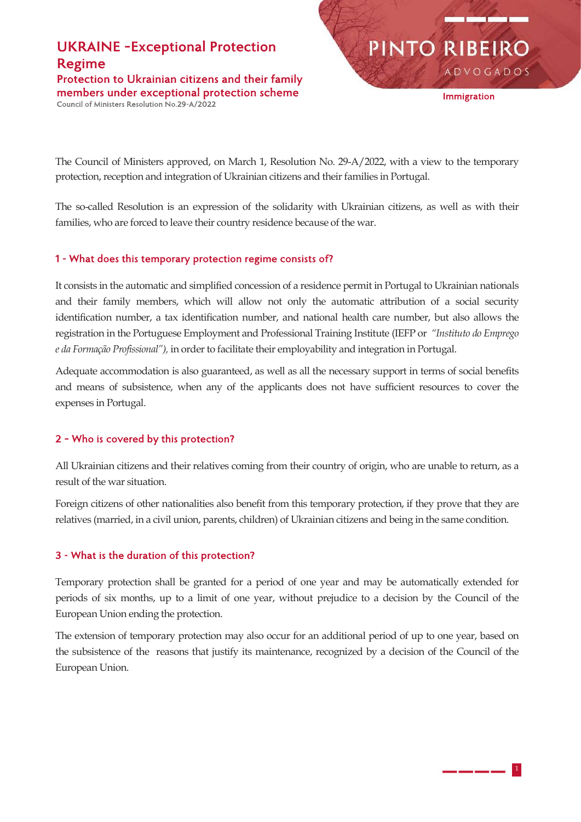# **UKRAINE - Exceptional Protection Regime**

Protection to Ukrainian citizens and their family members under exceptional protection scheme Council of Ministers Resolution No.29-A/2022

**ADVOGADOS** 

PINTO RIBEIRO

Immigration

The Council of Ministers approved, on March 1, Resolution No. 29-A/2022, with a view to the temporary protection, reception and integration of Ukrainian citizens and their families in Portugal.

The so-called Resolution is an expression of the solidarity with Ukrainian citizens, as well as with their families, who are forced to leave their country residence because of the war.

## 1 - What does this temporary protection regime consists of?

It consists in the automatic and simplified concession of a residence permit in Portugal to Ukrainian nationals and their family members, which will allow not only the automatic attribution of a social security identification number, a tax identification number, and national health care number, but also allows the registration in the Portuguese Employment and Professional Training Institute (IEFP or "Instituto do Emprego e da Formação Profissional"), in order to facilitate their employability and integration in Portugal.

Adequate accommodation is also guaranteed, as well as all the necessary support in terms of social benefits and means of subsistence, when any of the applicants does not have sufficient resources to cover the expenses in Portugal.

### 2 - Who is covered by this protection?

All Ukrainian citizens and their relatives coming from their country of origin, who are unable to return, as a result of the war situation.

Foreign citizens of other nationalities also benefit from this temporary protection, if they prove that they are relatives (married, in a civil union, parents, children) of Ukrainian citizens and being in the same condition.

## 3 - What is the duration of this protection?

Temporary protection shall be granted for a period of one year and may be automatically extended for periods of six months, up to a limit of one year, without prejudice to a decision by the Council of the European Union ending the protection.

The extension of temporary protection may also occur for an additional period of up to one year, based on the subsistence of the reasons that justify its maintenance, recognized by a decision of the Council of the European Union.